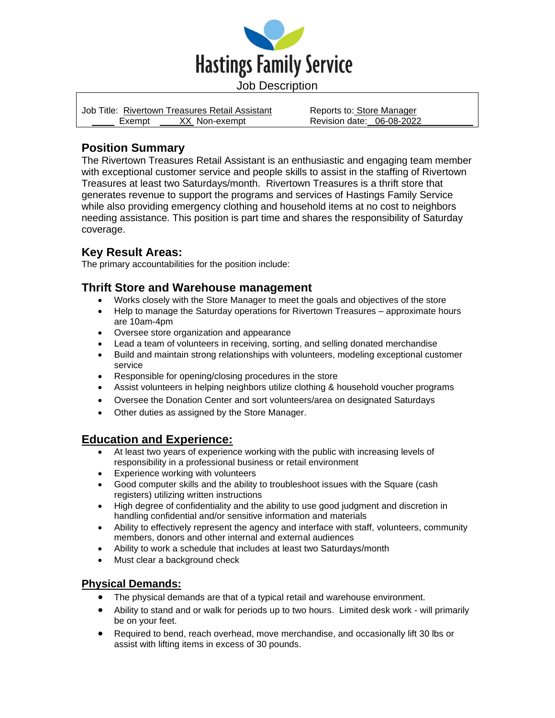

|        | Job Title: Rivertown Treasures Retail Assistant | Reports to: Store Manager |  |
|--------|-------------------------------------------------|---------------------------|--|
| Exempt | XX Non-exempt                                   | Revision date: 06-08-2022 |  |

# **Position Summary**

The Rivertown Treasures Retail Assistant is an enthusiastic and engaging team member with exceptional customer service and people skills to assist in the staffing of Rivertown Treasures at least two Saturdays/month. Rivertown Treasures is a thrift store that generates revenue to support the programs and services of Hastings Family Service while also providing emergency clothing and household items at no cost to neighbors needing assistance. This position is part time and shares the responsibility of Saturday coverage.

## **Key Result Areas:**

The primary accountabilities for the position include:

## **Thrift Store and Warehouse management**

- Works closely with the Store Manager to meet the goals and objectives of the store
- Help to manage the Saturday operations for Rivertown Treasures approximate hours are 10am-4pm
- Oversee store organization and appearance
- Lead a team of volunteers in receiving, sorting, and selling donated merchandise
- Build and maintain strong relationships with volunteers, modeling exceptional customer service
- Responsible for opening/closing procedures in the store
- Assist volunteers in helping neighbors utilize clothing & household voucher programs
- Oversee the Donation Center and sort volunteers/area on designated Saturdays
- Other duties as assigned by the Store Manager.

### **Education and Experience:**

- At least two years of experience working with the public with increasing levels of responsibility in a professional business or retail environment
- Experience working with volunteers
- Good computer skills and the ability to troubleshoot issues with the Square (cash registers) utilizing written instructions
- High degree of confidentiality and the ability to use good judgment and discretion in handling confidential and/or sensitive information and materials
- Ability to effectively represent the agency and interface with staff, volunteers, community members, donors and other internal and external audiences
- Ability to work a schedule that includes at least two Saturdays/month
- Must clear a background check

#### **Physical Demands:**

- The physical demands are that of a typical retail and warehouse environment.
- Ability to stand and or walk for periods up to two hours. Limited desk work will primarily be on your feet.
- Required to bend, reach overhead, move merchandise, and occasionally lift 30 lbs or assist with lifting items in excess of 30 pounds.